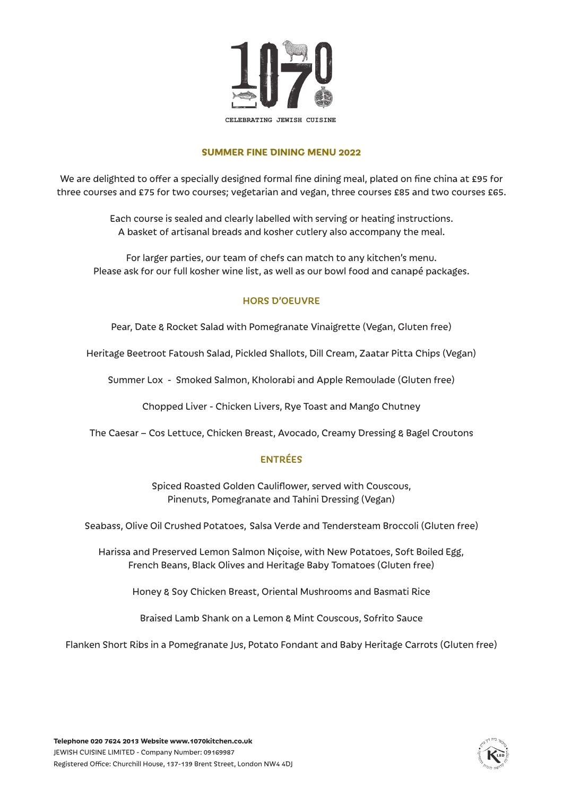

#### **SUMMER FINE DINING MENU 2022**

We are delighted to offer a specially designed formal fine dining meal, plated on fine china at £95 for three courses and £75 for two courses; vegetarian and vegan, three courses £85 and two courses £65.

> Each course is sealed and clearly labelled with serving or heating instructions. A basket of artisanal breads and kosher cutlery also accompany the meal.

For larger parties, our team of chefs can match to any kitchen's menu. Please ask for our full kosher wine list, as well as our bowl food and canapé packages.

### HORS D'OEUVRE

Pear, Date & Rocket Salad with Pomegranate Vinaigrette (Vegan, Gluten free)

Heritage Beetroot Fatoush Salad, Pickled Shallots, Dill Cream, Zaatar Pitta Chips (Vegan)

Summer Lox - Smoked Salmon, Kholorabi and Apple Remoulade (Gluten free)

Chopped Liver - Chicken Livers, Rye Toast and Mango Chutney

The Caesar – Cos Lettuce, Chicken Breast, Avocado, Creamy Dressing & Bagel Croutons

### ENTRÉES

Spiced Roasted Golden Cauliflower, served with Couscous, Pinenuts, Pomegranate and Tahini Dressing (Vegan)

Seabass, Olive Oil Crushed Potatoes, Salsa Verde and Tendersteam Broccoli (Gluten free)

Harissa and Preserved Lemon Salmon Niçoise, with New Potatoes, Soft Boiled Egg, French Beans, Black Olives and Heritage Baby Tomatoes (Gluten free)

Honey & Soy Chicken Breast, Oriental Mushrooms and Basmati Rice

Braised Lamb Shank on a Lemon & Mint Couscous, Sofrito Sauce

Flanken Short Ribs in a Pomegranate Jus, Potato Fondant and Baby Heritage Carrots (Gluten free)